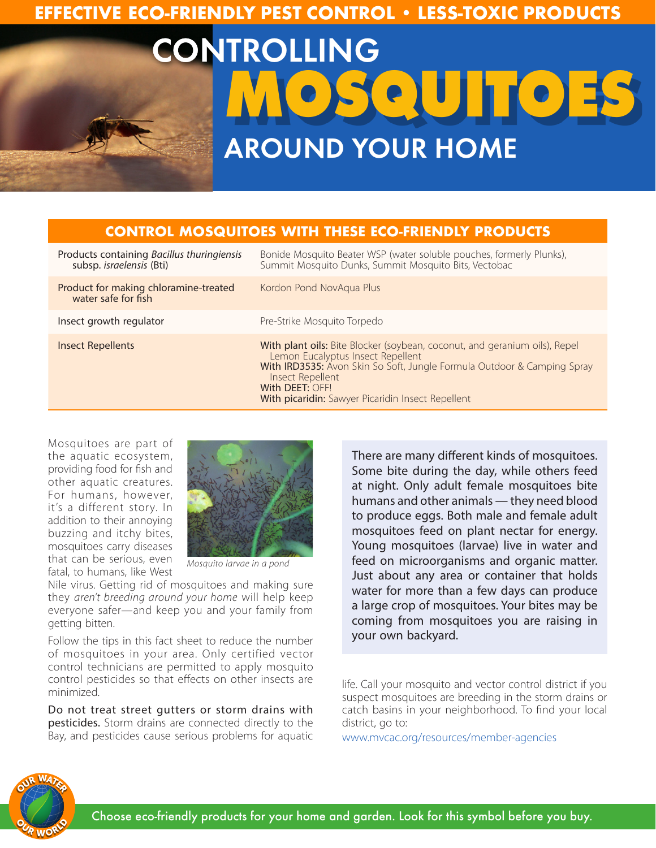### **EFFECTIVE ECO-FRIENDLY PEST CONTROL • LESS-TOXIC PRODUCTS**

# CONTROLLING **MOSQUITOES** AROUND YOUR HOME

#### **CONTROL MOSQUITOES WITH THESE ECO-FRIENDLY PRODUCTS**

| Products containing Bacillus thuringiensis<br>subsp. israelensis (Bti) | Bonide Mosquito Beater WSP (water soluble pouches, formerly Plunks),<br>Summit Mosquito Dunks, Summit Mosquito Bits, Vectobac                                                                                                                                                          |
|------------------------------------------------------------------------|----------------------------------------------------------------------------------------------------------------------------------------------------------------------------------------------------------------------------------------------------------------------------------------|
| Product for making chloramine-treated<br>water safe for fish           | Kordon Pond NovAqua Plus                                                                                                                                                                                                                                                               |
| Insect growth regulator                                                | Pre-Strike Mosquito Torpedo                                                                                                                                                                                                                                                            |
| Insect Repellents                                                      | With plant oils: Bite Blocker (soybean, coconut, and geranium oils), Repel<br>Lemon Eucalyptus Insect Repellent<br>With IRD3535: Avon Skin So Soft, Jungle Formula Outdoor & Camping Spray<br>Insect Repellent<br>With DEET: OFF!<br>With picaridin: Sawyer Picaridin Insect Repellent |

Mosquitoes are part of the aquatic ecosystem, providing food for fish and other aquatic creatures. For humans, however, it's a different story. In addition to their annoying buzzing and itchy bites, mosquitoes carry diseases that can be serious, even fatal, to humans, like West



*Mosquito larvae in a pond*

Nile virus. Getting rid of mosquitoes and making sure they *aren't breeding around your home* will help keep everyone safer—and keep you and your family from getting bitten.

Follow the tips in this fact sheet to reduce the number of mosquitoes in your area. Only certified vector control technicians are permitted to apply mosquito control pesticides so that effects on other insects are minimized.

Do not treat street gutters or storm drains with pesticides. Storm drains are connected directly to the Bay, and pesticides cause serious problems for aquatic There are many different kinds of mosquitoes. Some bite during the day, while others feed at night. Only adult female mosquitoes bite humans and other animals — they need blood to produce eggs. Both male and female adult mosquitoes feed on plant nectar for energy. Young mosquitoes (larvae) live in water and feed on microorganisms and organic matter. Just about any area or container that holds water for more than a few days can produce a large crop of mosquitoes. Your bites may be coming from mosquitoes you are raising in your own backyard.

life. Call your mosquito and vector control district if you suspect mosquitoes are breeding in the storm drains or catch basins in your neighborhood. To find your local district, go to:

www.mvcac.org/resources/member-agencies



Choose eco-friendly products for your home and garden. Look for this symbol before you buy.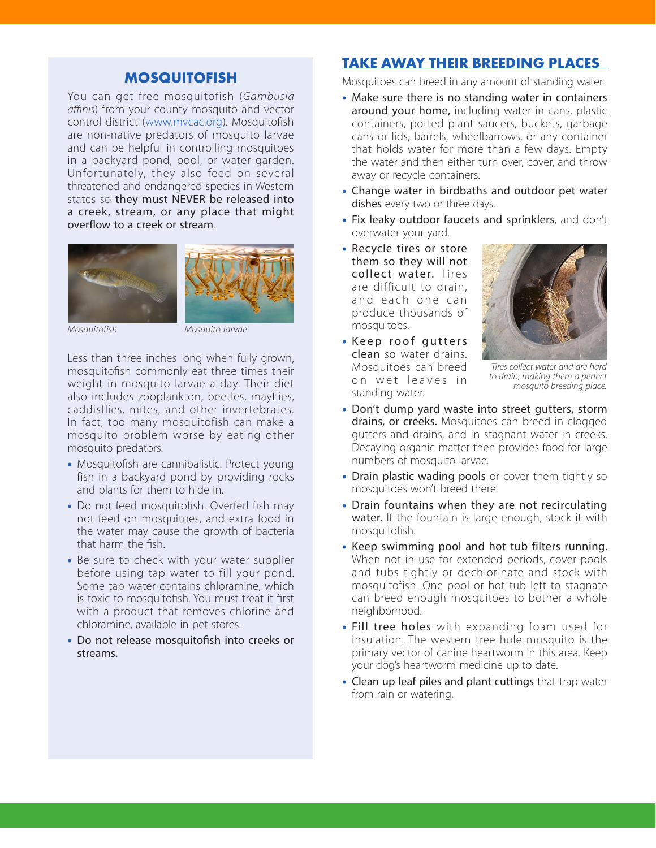#### **MOSQUITOFISH**

You can get free mosquitofish (*Gambusia affinis*) from your county mosquito and vector control district (www.mvcac.org). Mosquitofish are non-native predators of mosquito larvae and can be helpful in controlling mosquitoes in a backyard pond, pool, or water garden. Unfortunately, they also feed on several threatened and endangered species in Western states so they must NEVER be released into a creek, stream, or any place that might overflow to a creek or stream.





*Mosquitofish Mosquito larvae*

Less than three inches long when fully grown, mosquitofish commonly eat three times their weight in mosquito larvae a day. Their diet also includes zooplankton, beetles, mayflies, caddisflies, mites, and other invertebrates. In fact, too many mosquitofish can make a mosquito problem worse by eating other mosquito predators.

- Mosquitofish are cannibalistic. Protect young fish in a backyard pond by providing rocks and plants for them to hide in.
- Do not feed mosquitofish. Overfed fish may not feed on mosquitoes, and extra food in the water may cause the growth of bacteria that harm the fish.
- Be sure to check with your water supplier before using tap water to fill your pond. Some tap water contains chloramine, which is toxic to mosquitofish. You must treat it first with a product that removes chlorine and chloramine, available in pet stores.
- Do not release mosquitofish into creeks or streams.

#### **TAKE AWAY THEIR BREEDING PLACES**

Mosquitoes can breed in any amount of standing water.

- Make sure there is no standing water in containers around your home, including water in cans, plastic containers, potted plant saucers, buckets, garbage cans or lids, barrels, wheelbarrows, or any container that holds water for more than a few days. Empty the water and then either turn over, cover, and throw away or recycle containers.
- Change water in birdbaths and outdoor pet water dishes every two or three days.
- Fix leaky outdoor faucets and sprinklers, and don't overwater your yard.
- Recycle tires or store them so they will not collect water. Tires are difficult to drain, and each one can produce thousands of mosquitoes.
- Keep roof gutters clean so water drains. Mosquitoes can breed on wet leaves in standing water.



*Tires collect water and are hard to drain, making them a perfect mosquito breeding place.*

- Don't dump yard waste into street gutters, storm drains, or creeks. Mosquitoes can breed in clogged gutters and drains, and in stagnant water in creeks. Decaying organic matter then provides food for large numbers of mosquito larvae.
- Drain plastic wading pools or cover them tightly so mosquitoes won't breed there.
- Drain fountains when they are not recirculating water. If the fountain is large enough, stock it with mosquitofish.
- Keep swimming pool and hot tub filters running. When not in use for extended periods, cover pools and tubs tightly or dechlorinate and stock with mosquitofish. One pool or hot tub left to stagnate can breed enough mosquitoes to bother a whole neighborhood.
- Fill tree holes with expanding foam used for insulation. The western tree hole mosquito is the primary vector of canine heartworm in this area. Keep your dog's heartworm medicine up to date.
- Clean up leaf piles and plant cuttings that trap water from rain or watering.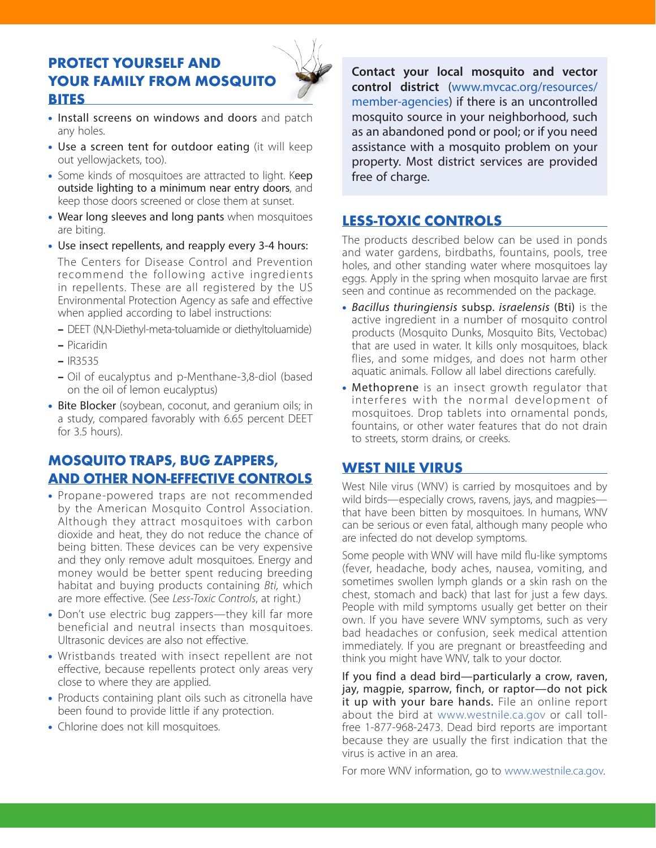#### **PROTECT YOURSELF AND YOUR FAMILY FROM MOSQUITO BITES**



- Install screens on windows and doors and patch any holes.
- Use a screen tent for outdoor eating (it will keep out yellowjackets, too).
- Some kinds of mosquitoes are attracted to light. Keep outside lighting to a minimum near entry doors, and keep those doors screened or close them at sunset.
- Wear long sleeves and long pants when mosquitoes are biting.
- Use insect repellents, and reapply every 3-4 hours: The Centers for Disease Control and Prevention recommend the following active ingredients in repellents. These are all registered by the US Environmental Protection Agency as safe and effective when applied according to label instructions:
	- DEET (N,N-Diethyl-meta-toluamide or diethyltoluamide)
	- Picaridin
	- IR3535
	- Oil of eucalyptus and p-Menthane-3,8-diol (based on the oil of lemon eucalyptus)
- Bite Blocker (soybean, coconut, and geranium oils; in a study, compared favorably with 6.65 percent DEET for 3.5 hours).

#### **MOSQUITO TRAPS, BUG ZAPPERS, AND OTHER NON-EFFECTIVE CONTROLS**

- Propane-powered traps are not recommended by the American Mosquito Control Association. Although they attract mosquitoes with carbon dioxide and heat, they do not reduce the chance of being bitten. These devices can be very expensive and they only remove adult mosquitoes. Energy and money would be better spent reducing breeding habitat and buying products containing *Bti,* which are more effective. (See *Less-Toxic Controls*, at right.)
- Don't use electric bug zappers—they kill far more beneficial and neutral insects than mosquitoes. Ultrasonic devices are also not effective.
- Wristbands treated with insect repellent are not effective, because repellents protect only areas very close to where they are applied.
- Products containing plant oils such as citronella have been found to provide little if any protection.
- Chlorine does not kill mosquitoes.

**Contact your local mosquito and vector control district** (www.mvcac.org/resources/ member-agencies) if there is an uncontrolled mosquito source in your neighborhood, such as an abandoned pond or pool; or if you need assistance with a mosquito problem on your property. Most district services are provided free of charge.

#### **LESS-TOXIC CONTROLS**

The products described below can be used in ponds and water gardens, birdbaths, fountains, pools, tree holes, and other standing water where mosquitoes lay eggs. Apply in the spring when mosquito larvae are first seen and continue as recommended on the package.

- • *Bacillus thuringiensis* subsp. *israelensis* (Bti) is the active ingredient in a number of mosquito control products (Mosquito Dunks, Mosquito Bits, Vectobac) that are used in water. It kills only mosquitoes, black flies, and some midges, and does not harm other aquatic animals. Follow all label directions carefully.
- Methoprene is an insect growth regulator that interferes with the normal development of mosquitoes. Drop tablets into ornamental ponds, fountains, or other water features that do not drain to streets, storm drains, or creeks.

#### **WEST NILE VIRUS**

West Nile virus (WNV) is carried by mosquitoes and by wild birds—especially crows, ravens, jays, and magpies that have been bitten by mosquitoes. In humans, WNV can be serious or even fatal, although many people who are infected do not develop symptoms.

Some people with WNV will have mild flu-like symptoms (fever, headache, body aches, nausea, vomiting, and sometimes swollen lymph glands or a skin rash on the chest, stomach and back) that last for just a few days. People with mild symptoms usually get better on their own. If you have severe WNV symptoms, such as very bad headaches or confusion, seek medical attention immediately. If you are pregnant or breastfeeding and think you might have WNV, talk to your doctor.

If you find a dead bird—particularly a crow, raven, jay, magpie, sparrow, finch, or raptor—do not pick it up with your bare hands. File an online report about the bird at www.westnile.ca.gov or call tollfree 1-877-968-2473. Dead bird reports are important because they are usually the first indication that the virus is active in an area.

For more WNV information, go to www.westnile.ca.gov.